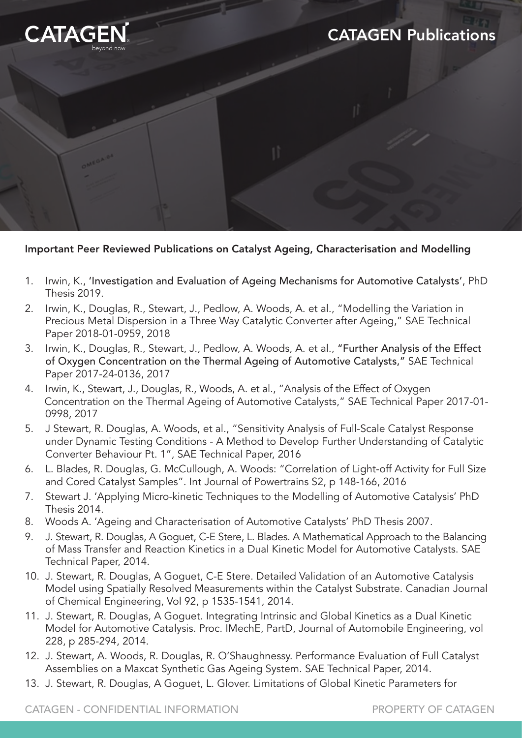

## Important Peer Reviewed Publications on Catalyst Ageing, Characterisation and Modelling

- 1. Irwin, K., 'Investigation and Evaluation of Ageing Mechanisms for Automotive Catalysts', PhD Thesis 2019.
- 2. Irwin, K., Douglas, R., Stewart, J., Pedlow, A. Woods, A. et al., "Modelling the Variation in Precious Metal Dispersion in a Three Way Catalytic Converter after Ageing," SAE Technical Paper 2018-01-0959, 2018
- 3. Irwin, K., Douglas, R., Stewart, J., Pedlow, A. Woods, A. et al., "Further Analysis of the Effect of Oxygen Concentration on the Thermal Ageing of Automotive Catalysts," SAE Technical Paper 2017-24-0136, 2017
- 4. Irwin, K., Stewart, J., Douglas, R., Woods, A. et al., "Analysis of the Effect of Oxygen Concentration on the Thermal Ageing of Automotive Catalysts," SAE Technical Paper 2017-01- 0998, 2017
- 5. J Stewart, R. Douglas, A. Woods, et al., "Sensitivity Analysis of Full-Scale Catalyst Response under Dynamic Testing Conditions - A Method to Develop Further Understanding of Catalytic Converter Behaviour Pt. 1", SAE Technical Paper, 2016
- 6. L. Blades, R. Douglas, G. McCullough, A. Woods: "Correlation of Light-off Activity for Full Size and Cored Catalyst Samples". Int Journal of Powertrains S2, p 148-166, 2016
- 7. Stewart J. 'Applying Micro-kinetic Techniques to the Modelling of Automotive Catalysis' PhD Thesis 2014.
- 8. Woods A. 'Ageing and Characterisation of Automotive Catalysts' PhD Thesis 2007.
- 9. J. Stewart, R. Douglas, A Goguet, C-E Stere, L. Blades. A Mathematical Approach to the Balancing of Mass Transfer and Reaction Kinetics in a Dual Kinetic Model for Automotive Catalysts. SAE Technical Paper, 2014.
- 10. J. Stewart, R. Douglas, A Goguet, C-E Stere. Detailed Validation of an Automotive Catalysis Model using Spatially Resolved Measurements within the Catalyst Substrate. Canadian Journal of Chemical Engineering, Vol 92, p 1535-1541, 2014.
- 11. J. Stewart, R. Douglas, A Goguet. Integrating Intrinsic and Global Kinetics as a Dual Kinetic Model for Automotive Catalysis. Proc. IMechE, PartD, Journal of Automobile Engineering, vol 228, p 285-294, 2014.
- 12. J. Stewart, A. Woods, R. Douglas, R. O'Shaughnessy. Performance Evaluation of Full Catalyst Assemblies on a Maxcat Synthetic Gas Ageing System. SAE Technical Paper, 2014.
- 13. J. Stewart, R. Douglas, A Goguet, L. Glover. Limitations of Global Kinetic Parameters for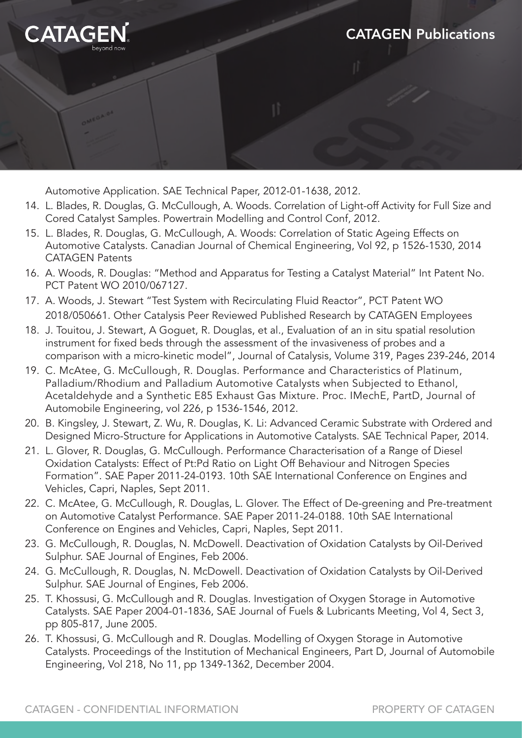

Automotive Application. SAE Technical Paper, 2012-01-1638, 2012.

- 14. L. Blades, R. Douglas, G. McCullough, A. Woods. Correlation of Light-off Activity for Full Size and Cored Catalyst Samples. Powertrain Modelling and Control Conf, 2012.
- 15. L. Blades, R. Douglas, G. McCullough, A. Woods: Correlation of Static Ageing Effects on Automotive Catalysts. Canadian Journal of Chemical Engineering, Vol 92, p 1526-1530, 2014 CATAGEN Patents
- 16. A. Woods, R. Douglas: "Method and Apparatus for Testing a Catalyst Material" Int Patent No. PCT Patent WO 2010/067127.
- 17. A. Woods, J. Stewart "Test System with Recirculating Fluid Reactor", PCT Patent WO 2018/050661. Other Catalysis Peer Reviewed Published Research by CATAGEN Employees
- 18. J. Touitou, J. Stewart, A Goguet, R. Douglas, et al., Evaluation of an in situ spatial resolution instrument for fixed beds through the assessment of the invasiveness of probes and a comparison with a micro-kinetic model", Journal of Catalysis, Volume 319, Pages 239-246, 2014
- 19. C. McAtee, G. McCullough, R. Douglas. Performance and Characteristics of Platinum, Palladium/Rhodium and Palladium Automotive Catalysts when Subjected to Ethanol, Acetaldehyde and a Synthetic E85 Exhaust Gas Mixture. Proc. IMechE, PartD, Journal of Automobile Engineering, vol 226, p 1536-1546, 2012.
- 20. B. Kingsley, J. Stewart, Z. Wu, R. Douglas, K. Li: Advanced Ceramic Substrate with Ordered and Designed Micro-Structure for Applications in Automotive Catalysts. SAE Technical Paper, 2014.
- 21. L. Glover, R. Douglas, G. McCullough. Performance Characterisation of a Range of Diesel Oxidation Catalysts: Effect of Pt:Pd Ratio on Light Off Behaviour and Nitrogen Species Formation". SAE Paper 2011-24-0193. 10th SAE International Conference on Engines and Vehicles, Capri, Naples, Sept 2011.
- 22. C. McAtee, G. McCullough, R. Douglas, L. Glover. The Effect of De-greening and Pre-treatment on Automotive Catalyst Performance. SAE Paper 2011-24-0188. 10th SAE International Conference on Engines and Vehicles, Capri, Naples, Sept 2011.
- 23. G. McCullough, R. Douglas, N. McDowell. Deactivation of Oxidation Catalysts by Oil-Derived Sulphur. SAE Journal of Engines, Feb 2006.
- 24. G. McCullough, R. Douglas, N. McDowell. Deactivation of Oxidation Catalysts by Oil-Derived Sulphur. SAE Journal of Engines, Feb 2006.
- 25. T. Khossusi, G. McCullough and R. Douglas. Investigation of Oxygen Storage in Automotive Catalysts. SAE Paper 2004-01-1836, SAE Journal of Fuels & Lubricants Meeting, Vol 4, Sect 3, pp 805-817, June 2005.
- 26. T. Khossusi, G. McCullough and R. Douglas. Modelling of Oxygen Storage in Automotive Catalysts. Proceedings of the Institution of Mechanical Engineers, Part D, Journal of Automobile Engineering, Vol 218, No 11, pp 1349-1362, December 2004.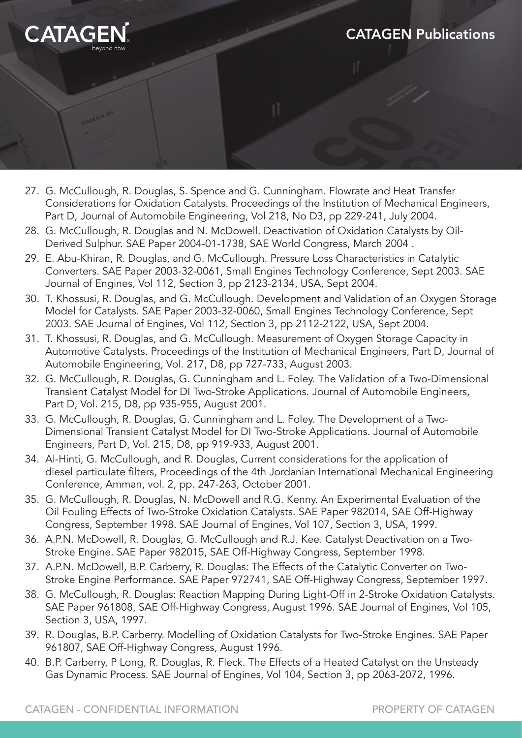

- 27. G. McCullough, R. Douglas, S. Spence and G. Cunningham. Flowrate and Heat Transfer Considerations for Oxidation Catalysts. Proceedings of the Institution of Mechanical Engineers, Part D, Journal of Automobile Engineering, Vol 218, No D3, pp 229-241, July 2004.
- 28. G. McCullough, R. Douglas and N. McDowell. Deactivation of Oxidation Catalysts by Oil- Derived Sulphur. SAE Paper 2004-01-1738, SAE World Congress, March 2004 .
- 29. E. Abu-Khiran, R. Douglas, and G. McCullough. Pressure Loss Characteristics in Catalytic Converters. SAE Paper 2003-32-0061, Small Engines Technology Conference, Sept 2003. SAE Journal of Engines, Vol 112, Section 3, pp 2123-2134, USA, Sept 2004.
- 30. T. Khossusi, R. Douglas, and G. McCullough. Development and Validation of an Oxygen Storage Model for Catalysts. SAE Paper 2003-32-0060, Small Engines Technology Conference, Sept 2003. SAE Journal of Engines, Vol 112, Section 3, pp 2112-2122, USA, Sept 2004.
- 31. T. Khossusi, R. Douglas, and G. McCullough. Measurement of Oxygen Storage Capacity in Automotive Catalysts. Proceedings of the Institution of Mechanical Engineers, Part D, Journal of Automobile Engineering, Vol. 217, D8, pp 727-733, August 2003.
- 32. G. McCullough, R. Douglas, G. Cunningham and L. Foley. The Validation of a Two-Dimensional Transient Catalyst Model for DI Two-Stroke Applications. Journal of Automobile Engineers, Part D, Vol. 215, D8, pp 935-955, August 2001.
- 33. G. McCullough, R. Douglas, G. Cunningham and L. Foley. The Development of a Two- Dimensional Transient Catalyst Model for DI Two-Stroke Applications. Journal of Automobile Engineers, Part D, Vol. 215, D8, pp 919-933, August 2001.
- 34. Al-Hinti, G. McCullough, and R. Douglas, Current considerations for the application of diesel particulate filters, Proceedings of the 4th Jordanian International Mechanical Engineering Conference, Amman, vol. 2, pp. 247-263, October 2001.
- 35. G. McCullough, R. Douglas, N. McDowell and R.G. Kenny. An Experimental Evaluation of the Oil Fouling Effects of Two-Stroke Oxidation Catalysts. SAE Paper 982014, SAE Off-Highway Congress, September 1998. SAE Journal of Engines, Vol 107, Section 3, USA, 1999.
- 36. A.P.N. McDowell, R. Douglas, G. McCullough and R.J. Kee. Catalyst Deactivation on a Two- Stroke Engine. SAE Paper 982015, SAE Off-Highway Congress, September 1998.
- 37. A.P.N. McDowell, B.P. Carberry, R. Douglas: The Effects of the Catalytic Converter on Two- Stroke Engine Performance. SAE Paper 972741, SAE Off-Highway Congress, September 1997.
- 38. G. McCullough, R. Douglas: Reaction Mapping During Light-Off in 2-Stroke Oxidation Catalysts. SAE Paper 961808, SAE Off-Highway Congress, August 1996. SAE Journal of Engines, Vol 105, Section 3, USA, 1997.
- 39. R. Douglas, B.P. Carberry. Modelling of Oxidation Catalysts for Two-Stroke Engines. SAE Paper 961807, SAE Off-Highway Congress, August 1996.
- 40. B.P. Carberry, P Long, R. Douglas, R. Fleck. The Effects of a Heated Catalyst on the Unsteady Gas Dynamic Process. SAE Journal of Engines, Vol 104, Section 3, pp 2063-2072, 1996.